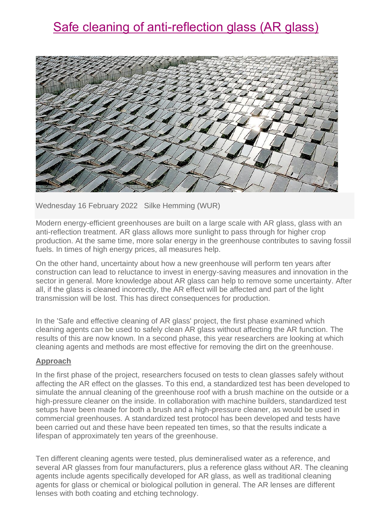# Safe cleaning of anti-reflection glass (AR glass)



Wednesday 16 February 2022 Silke Hemming (WUR)

Modern energy-efficient greenhouses are built on a large scale with AR glass, glass with an anti-reflection treatment. AR glass allows more sunlight to pass through for higher crop production. At the same time, more solar energy in the greenhouse contributes to saving fossil fuels. In times of high energy prices, all measures help.

On the other hand, uncertainty about how a new greenhouse will perform ten years after construction can lead to reluctance to invest in energy-saving measures and innovation in the sector in general. More knowledge about AR glass can help to remove some uncertainty. After all, if the glass is cleaned incorrectly, the AR effect will be affected and part of the light transmission will be lost. This has direct consequences for production.

In the 'Safe and effective cleaning of AR glass' project, the first phase examined which cleaning agents can be used to safely clean AR glass without affecting the AR function. The results of this are now known. In a second phase, this year researchers are looking at which cleaning agents and methods are most effective for removing the dirt on the greenhouse.

#### **Approach**

In the first phase of the project, researchers focused on tests to clean glasses safely without affecting the AR effect on the glasses. To this end, a standardized test has been developed to simulate the annual cleaning of the greenhouse roof with a brush machine on the outside or a high-pressure cleaner on the inside. In collaboration with machine builders, standardized test setups have been made for both a brush and a high-pressure cleaner, as would be used in commercial greenhouses. A standardized test protocol has been developed and tests have been carried out and these have been repeated ten times, so that the results indicate a lifespan of approximately ten years of the greenhouse.

Ten different cleaning agents were tested, plus demineralised water as a reference, and several AR glasses from four manufacturers, plus a reference glass without AR. The cleaning agents include agents specifically developed for AR glass, as well as traditional cleaning agents for glass or chemical or biological pollution in general. The AR lenses are different lenses with both coating and etching technology.